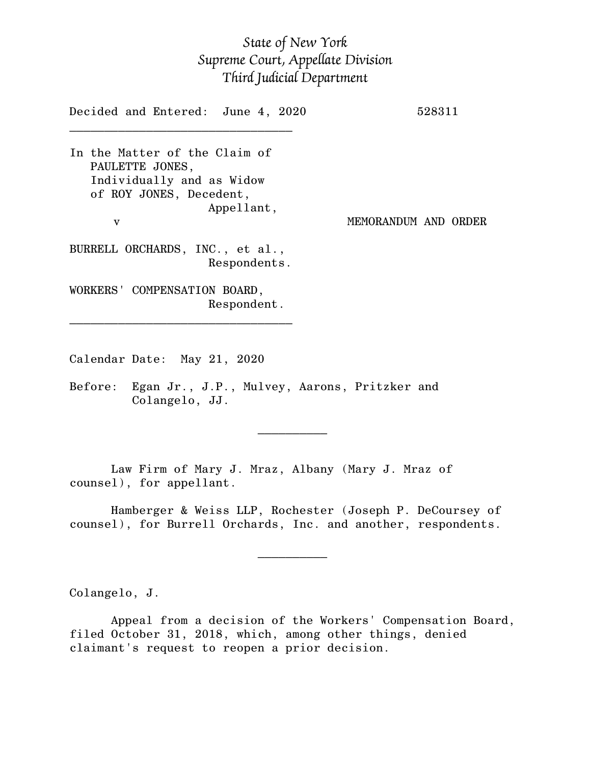## *State of New York Supreme Court, Appellate Division Third Judicial Department*

Decided and Entered: June 4, 2020 528311  $\mathcal{L}_\text{max}$ In the Matter of the Claim of PAULETTE JONES, Individually and as Widow of ROY JONES, Decedent, Appellant, v MEMORANDUM AND ORDER BURRELL ORCHARDS, INC., et al., Respondents. WORKERS' COMPENSATION BOARD, Respondent. \_\_\_\_\_\_\_\_\_\_\_\_\_\_\_\_\_\_\_\_\_\_\_\_\_\_\_\_\_\_\_\_

Calendar Date: May 21, 2020

 $\mathcal{L}_\text{max}$  and  $\mathcal{L}_\text{max}$  are the set of  $\mathcal{L}_\text{max}$  . The set of  $\mathcal{L}_\text{max}$ 

 $\mathcal{L}_\text{max}$  and  $\mathcal{L}_\text{max}$  are the set of  $\mathcal{L}_\text{max}$  . The set of  $\mathcal{L}_\text{max}$ 

Before: Egan Jr., J.P., Mulvey, Aarons, Pritzker and Colangelo, JJ.

Law Firm of Mary J. Mraz, Albany (Mary J. Mraz of counsel), for appellant.

Hamberger & Weiss LLP, Rochester (Joseph P. DeCoursey of counsel), for Burrell Orchards, Inc. and another, respondents.

Colangelo, J.

Appeal from a decision of the Workers' Compensation Board, filed October 31, 2018, which, among other things, denied claimant's request to reopen a prior decision.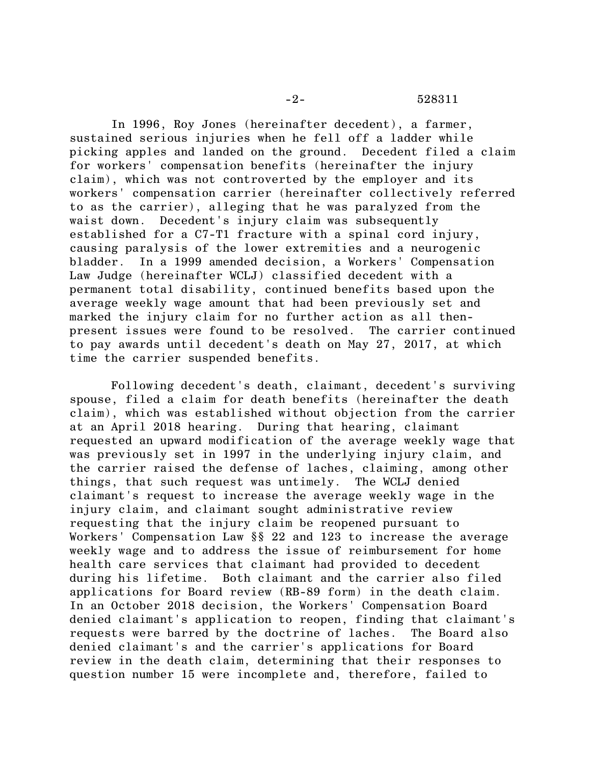In 1996, Roy Jones (hereinafter decedent), a farmer, sustained serious injuries when he fell off a ladder while picking apples and landed on the ground. Decedent filed a claim for workers' compensation benefits (hereinafter the injury claim), which was not controverted by the employer and its workers' compensation carrier (hereinafter collectively referred to as the carrier), alleging that he was paralyzed from the waist down. Decedent's injury claim was subsequently established for a C7-T1 fracture with a spinal cord injury, causing paralysis of the lower extremities and a neurogenic bladder. In a 1999 amended decision, a Workers' Compensation Law Judge (hereinafter WCLJ) classified decedent with a permanent total disability, continued benefits based upon the average weekly wage amount that had been previously set and marked the injury claim for no further action as all thenpresent issues were found to be resolved. The carrier continued to pay awards until decedent's death on May 27, 2017, at which time the carrier suspended benefits.

Following decedent's death, claimant, decedent's surviving spouse, filed a claim for death benefits (hereinafter the death claim), which was established without objection from the carrier at an April 2018 hearing. During that hearing, claimant requested an upward modification of the average weekly wage that was previously set in 1997 in the underlying injury claim, and the carrier raised the defense of laches, claiming, among other things, that such request was untimely. The WCLJ denied claimant's request to increase the average weekly wage in the injury claim, and claimant sought administrative review requesting that the injury claim be reopened pursuant to Workers' Compensation Law §§ 22 and 123 to increase the average weekly wage and to address the issue of reimbursement for home health care services that claimant had provided to decedent during his lifetime. Both claimant and the carrier also filed applications for Board review (RB-89 form) in the death claim. In an October 2018 decision, the Workers' Compensation Board denied claimant's application to reopen, finding that claimant's requests were barred by the doctrine of laches. The Board also denied claimant's and the carrier's applications for Board review in the death claim, determining that their responses to question number 15 were incomplete and, therefore, failed to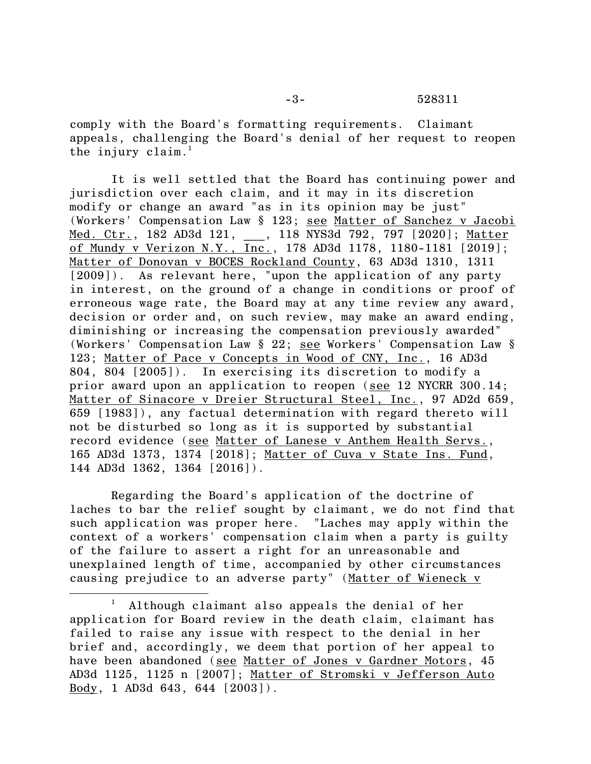comply with the Board's formatting requirements. Claimant appeals, challenging the Board's denial of her request to reopen the injury claim. 1

It is well settled that the Board has continuing power and jurisdiction over each claim, and it may in its discretion modify or change an award "as in its opinion may be just" (Workers' Compensation Law § 123; see Matter of Sanchez v Jacobi Med. Ctr., 182 AD3d 121, , 118 NYS3d 792, 797 [2020]; Matter of Mundy v Verizon N.Y., Inc., 178 AD3d 1178, 1180-1181 [2019]; Matter of Donovan v BOCES Rockland County, 63 AD3d 1310, 1311 [2009]). As relevant here, "upon the application of any party in interest, on the ground of a change in conditions or proof of erroneous wage rate, the Board may at any time review any award, decision or order and, on such review, may make an award ending, diminishing or increasing the compensation previously awarded" (Workers' Compensation Law § 22; see Workers' Compensation Law § 123; Matter of Pace v Concepts in Wood of CNY, Inc., 16 AD3d 804, 804 [2005]). In exercising its discretion to modify a prior award upon an application to reopen (see 12 NYCRR 300.14; Matter of Sinacore v Dreier Structural Steel, Inc., 97 AD2d 659, 659 [1983]), any factual determination with regard thereto will not be disturbed so long as it is supported by substantial record evidence (see Matter of Lanese v Anthem Health Servs., 165 AD3d 1373, 1374 [2018]; Matter of Cuva v State Ins. Fund, 144 AD3d 1362, 1364 [2016]).

Regarding the Board's application of the doctrine of laches to bar the relief sought by claimant, we do not find that such application was proper here. "Laches may apply within the context of a workers' compensation claim when a party is guilty of the failure to assert a right for an unreasonable and unexplained length of time, accompanied by other circumstances causing prejudice to an adverse party" (Matter of Wieneck v

Although claimant also appeals the denial of her application for Board review in the death claim, claimant has failed to raise any issue with respect to the denial in her brief and, accordingly, we deem that portion of her appeal to have been abandoned (see Matter of Jones v Gardner Motors, 45 AD3d 1125, 1125 n [2007]; Matter of Stromski v Jefferson Auto Body, 1 AD3d 643, 644 [2003]).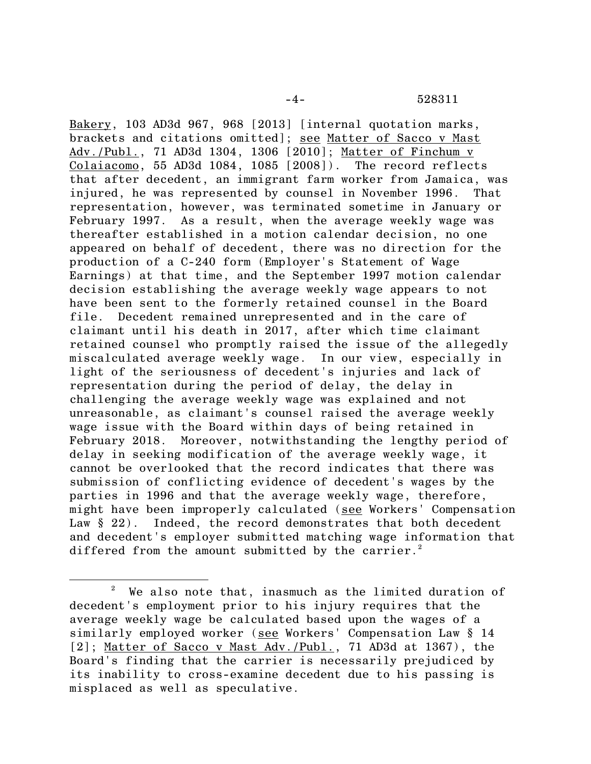Bakery, 103 AD3d 967, 968 [2013] [internal quotation marks, brackets and citations omitted]; see Matter of Sacco v Mast Adv./Publ., 71 AD3d 1304, 1306 [2010]; Matter of Finchum v Colaiacomo, 55 AD3d 1084, 1085 [2008]). The record reflects that after decedent, an immigrant farm worker from Jamaica, was injured, he was represented by counsel in November 1996. That representation, however, was terminated sometime in January or February 1997. As a result, when the average weekly wage was thereafter established in a motion calendar decision, no one appeared on behalf of decedent, there was no direction for the production of a C-240 form (Employer's Statement of Wage Earnings) at that time, and the September 1997 motion calendar decision establishing the average weekly wage appears to not have been sent to the formerly retained counsel in the Board file. Decedent remained unrepresented and in the care of claimant until his death in 2017, after which time claimant retained counsel who promptly raised the issue of the allegedly miscalculated average weekly wage. In our view, especially in light of the seriousness of decedent's injuries and lack of representation during the period of delay, the delay in challenging the average weekly wage was explained and not unreasonable, as claimant's counsel raised the average weekly wage issue with the Board within days of being retained in February 2018. Moreover, notwithstanding the lengthy period of delay in seeking modification of the average weekly wage, it cannot be overlooked that the record indicates that there was submission of conflicting evidence of decedent's wages by the parties in 1996 and that the average weekly wage, therefore, might have been improperly calculated (see Workers' Compensation Law § 22). Indeed, the record demonstrates that both decedent and decedent's employer submitted matching wage information that differed from the amount submitted by the carrier.<sup>2</sup>

<sup>2</sup> We also note that, inasmuch as the limited duration of decedent's employment prior to his injury requires that the average weekly wage be calculated based upon the wages of a similarly employed worker (see Workers' Compensation Law § 14 [2]; Matter of Sacco v Mast Adv./Publ., 71 AD3d at 1367), the Board's finding that the carrier is necessarily prejudiced by its inability to cross-examine decedent due to his passing is misplaced as well as speculative.